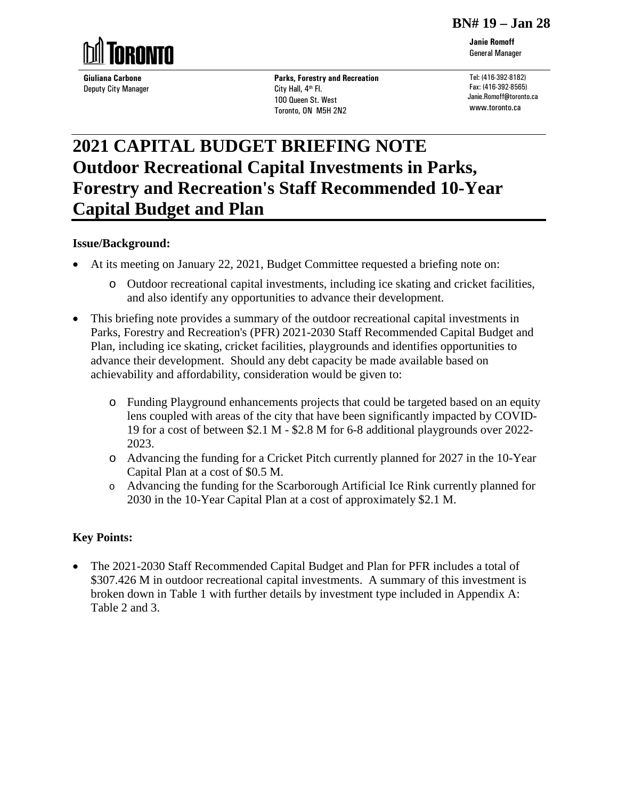#### **BN# 19 – Jan 28**



**Giuliana Carbone** Deputy City Manager **Parks, Forestry and Recreation**  City Hall, 4<sup>th</sup> Fl. 100 Queen St. West Toronto, ON M5H 2N2

Tel: (416-392-8182) Fax: (416-392-8565) Janie.Romoff@toronto.ca www.toronto.ca

# **2021 CAPITAL BUDGET BRIEFING NOTE Outdoor Recreational Capital Investments in Parks, Forestry and Recreation's Staff Recommended 10-Year Capital Budget and Plan**

## **Issue/Background:**

- At its meeting on January 22, 2021, Budget Committee requested a briefing note on:
	- o Outdoor recreational capital investments, including ice skating and cricket facilities, and also identify any opportunities to advance their development.
- This briefing note provides a summary of the outdoor recreational capital investments in Parks, Forestry and Recreation's (PFR) 2021-2030 Staff Recommended Capital Budget and Plan, including ice skating, cricket facilities, playgrounds and identifies opportunities to advance their development. Should any debt capacity be made available based on achievability and affordability, consideration would be given to:
	- o Funding Playground enhancements projects that could be targeted based on an equity lens coupled with areas of the city that have been significantly impacted by COVID-19 for a cost of between \$2.1 M - \$2.8 M for 6-8 additional playgrounds over 2022- 2023.
	- o Advancing the funding for a Cricket Pitch currently planned for 2027 in the 10-Year Capital Plan at a cost of \$0.5 M.
	- o Advancing the funding for the Scarborough Artificial Ice Rink currently planned for 2030 in the 10-Year Capital Plan at a cost of approximately \$2.1 M.

## **Key Points:**

• The 2021-2030 Staff Recommended Capital Budget and Plan for PFR includes a total of \$307.426 M in outdoor recreational capital investments. A summary of this investment is broken down in Table 1 with further details by investment type included in Appendix A: Table 2 and 3.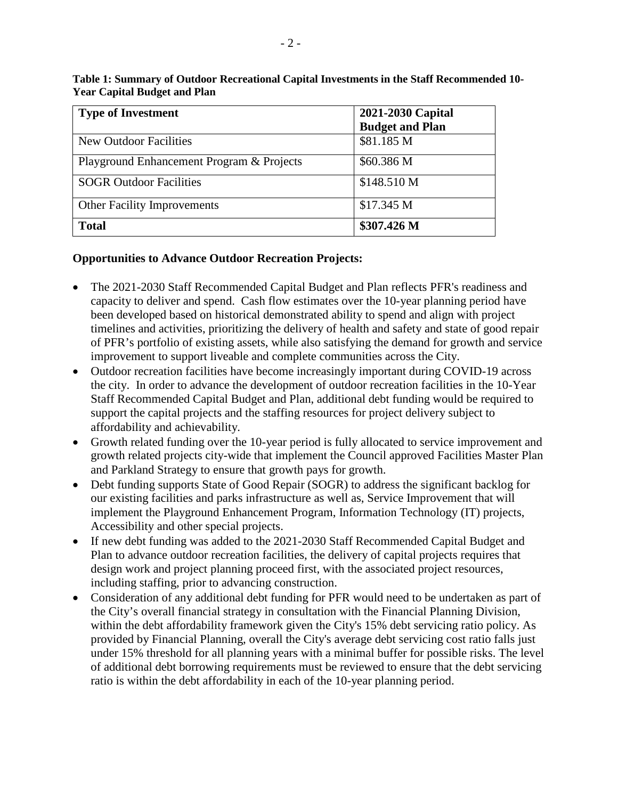| <b>Type of Investment</b>                 | 2021-2030 Capital<br><b>Budget and Plan</b> |  |  |  |  |  |
|-------------------------------------------|---------------------------------------------|--|--|--|--|--|
| <b>New Outdoor Facilities</b>             | \$81.185 M                                  |  |  |  |  |  |
| Playground Enhancement Program & Projects | \$60.386 M                                  |  |  |  |  |  |
| <b>SOGR Outdoor Facilities</b>            | \$148.510 M                                 |  |  |  |  |  |
| <b>Other Facility Improvements</b>        | \$17.345 M                                  |  |  |  |  |  |
| <b>Total</b>                              | \$307.426 M                                 |  |  |  |  |  |

**Table 1: Summary of Outdoor Recreational Capital Investments in the Staff Recommended 10- Year Capital Budget and Plan**

## **Opportunities to Advance Outdoor Recreation Projects:**

- The 2021-2030 Staff Recommended Capital Budget and Plan reflects PFR's readiness and capacity to deliver and spend. Cash flow estimates over the 10-year planning period have been developed based on historical demonstrated ability to spend and align with project timelines and activities, prioritizing the delivery of health and safety and state of good repair of PFR's portfolio of existing assets, while also satisfying the demand for growth and service improvement to support liveable and complete communities across the City.
- Outdoor recreation facilities have become increasingly important during COVID-19 across the city. In order to advance the development of outdoor recreation facilities in the 10-Year Staff Recommended Capital Budget and Plan, additional debt funding would be required to support the capital projects and the staffing resources for project delivery subject to affordability and achievability.
- Growth related funding over the 10-year period is fully allocated to service improvement and growth related projects city-wide that implement the Council approved Facilities Master Plan and Parkland Strategy to ensure that growth pays for growth.
- Debt funding supports State of Good Repair (SOGR) to address the significant backlog for our existing facilities and parks infrastructure as well as, Service Improvement that will implement the Playground Enhancement Program, Information Technology (IT) projects, Accessibility and other special projects.
- If new debt funding was added to the 2021-2030 Staff Recommended Capital Budget and Plan to advance outdoor recreation facilities, the delivery of capital projects requires that design work and project planning proceed first, with the associated project resources, including staffing, prior to advancing construction.
- Consideration of any additional debt funding for PFR would need to be undertaken as part of the City's overall financial strategy in consultation with the Financial Planning Division, within the debt affordability framework given the City's 15% debt servicing ratio policy. As provided by Financial Planning, overall the City's average debt servicing cost ratio falls just under 15% threshold for all planning years with a minimal buffer for possible risks. The level of additional debt borrowing requirements must be reviewed to ensure that the debt servicing ratio is within the debt affordability in each of the 10-year planning period.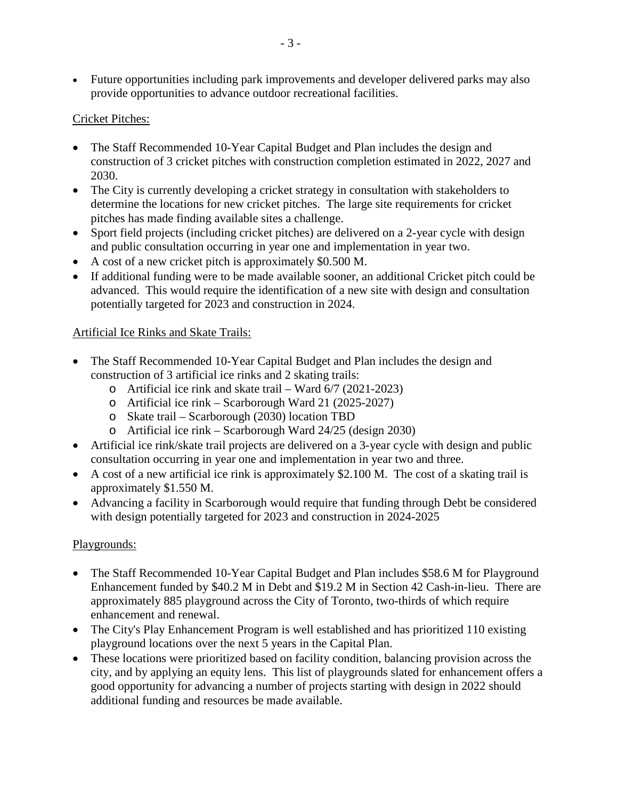• Future opportunities including park improvements and developer delivered parks may also provide opportunities to advance outdoor recreational facilities.

## Cricket Pitches:

- The Staff Recommended 10-Year Capital Budget and Plan includes the design and construction of 3 cricket pitches with construction completion estimated in 2022, 2027 and 2030.
- The City is currently developing a cricket strategy in consultation with stakeholders to determine the locations for new cricket pitches. The large site requirements for cricket pitches has made finding available sites a challenge.
- Sport field projects (including cricket pitches) are delivered on a 2-year cycle with design and public consultation occurring in year one and implementation in year two.
- A cost of a new cricket pitch is approximately \$0.500 M.
- If additional funding were to be made available sooner, an additional Cricket pitch could be advanced. This would require the identification of a new site with design and consultation potentially targeted for 2023 and construction in 2024.

## Artificial Ice Rinks and Skate Trails:

- The Staff Recommended 10-Year Capital Budget and Plan includes the design and construction of 3 artificial ice rinks and 2 skating trails:
	- o Artificial ice rink and skate trail Ward 6/7 (2021-2023)
	- o Artificial ice rink Scarborough Ward 21 (2025-2027)
	- o Skate trail Scarborough (2030) location TBD
	- o Artificial ice rink Scarborough Ward 24/25 (design 2030)
- Artificial ice rink/skate trail projects are delivered on a 3-year cycle with design and public consultation occurring in year one and implementation in year two and three.
- A cost of a new artificial ice rink is approximately \$2.100 M. The cost of a skating trail is approximately \$1.550 M.
- Advancing a facility in Scarborough would require that funding through Debt be considered with design potentially targeted for 2023 and construction in 2024-2025

## Playgrounds:

- The Staff Recommended 10-Year Capital Budget and Plan includes \$58.6 M for Playground Enhancement funded by \$40.2 M in Debt and \$19.2 M in Section 42 Cash-in-lieu. There are approximately 885 playground across the City of Toronto, two-thirds of which require enhancement and renewal.
- The City's Play Enhancement Program is well established and has prioritized 110 existing playground locations over the next 5 years in the Capital Plan.
- These locations were prioritized based on facility condition, balancing provision across the city, and by applying an equity lens. This list of playgrounds slated for enhancement offers a good opportunity for advancing a number of projects starting with design in 2022 should additional funding and resources be made available.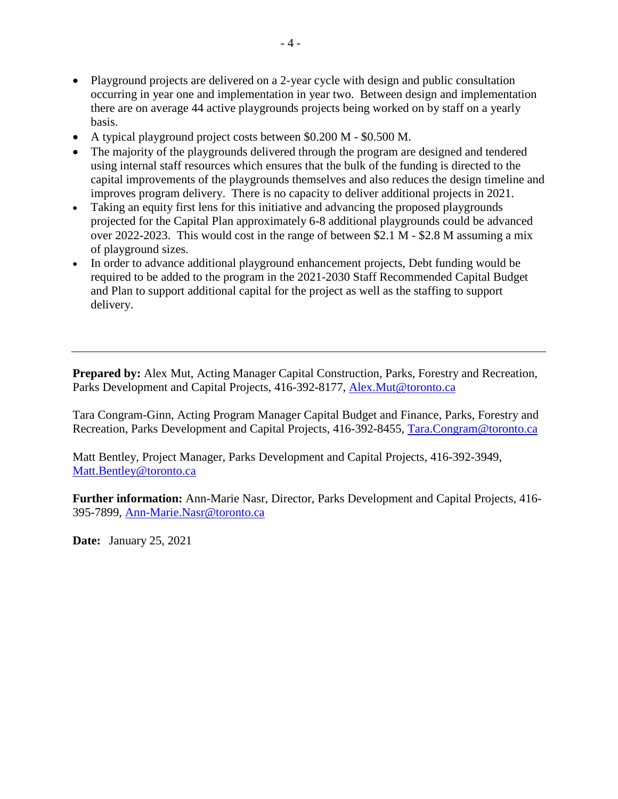- Playground projects are delivered on a 2-year cycle with design and public consultation occurring in year one and implementation in year two. Between design and implementation there are on average 44 active playgrounds projects being worked on by staff on a yearly basis.
- A typical playground project costs between \$0.200 M \$0.500 M.
- The majority of the playgrounds delivered through the program are designed and tendered using internal staff resources which ensures that the bulk of the funding is directed to the capital improvements of the playgrounds themselves and also reduces the design timeline and improves program delivery. There is no capacity to deliver additional projects in 2021.
- Taking an equity first lens for this initiative and advancing the proposed playgrounds projected for the Capital Plan approximately 6-8 additional playgrounds could be advanced over 2022-2023. This would cost in the range of between \$2.1 M - \$2.8 M assuming a mix of playground sizes.
- In order to advance additional playground enhancement projects, Debt funding would be required to be added to the program in the 2021-2030 Staff Recommended Capital Budget and Plan to support additional capital for the project as well as the staffing to support delivery.

**Prepared by:** Alex Mut, Acting Manager Capital Construction, Parks, Forestry and Recreation, Parks Development and Capital Projects, 416-392-8177, [Alex.Mut@toronto.ca](mailto:Alex.Mut@toronto.ca)

Tara Congram-Ginn, Acting Program Manager Capital Budget and Finance, Parks, Forestry and Recreation, Parks Development and Capital Projects, 416-392-8455, [Tara.Congram@toronto.ca](mailto:Tara.Congram@toronto.ca)

Matt Bentley, Project Manager, Parks Development and Capital Projects, 416-392-3949, [Matt.Bentley@toronto.ca](mailto:Matt.Bentley@toronto.ca) 

**Further information:** Ann-Marie Nasr, Director, Parks Development and Capital Projects, 416- 395-7899, [Ann-Marie.Nasr@toronto.ca](mailto:Ann-Marie.Nasr@toronto.ca)

**Date:** January 25, 2021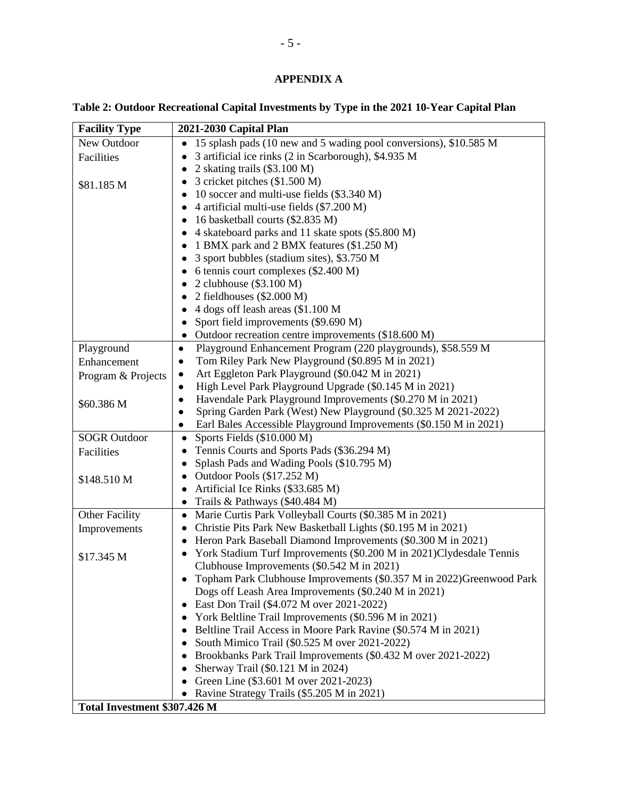## **APPENDIX A**

**Table 2: Outdoor Recreational Capital Investments by Type in the 2021 10-Year Capital Plan**

| <b>Facility Type</b><br>2021-2030 Capital Plan                                                                                |  |
|-------------------------------------------------------------------------------------------------------------------------------|--|
| New Outdoor<br>15 splash pads (10 new and 5 wading pool conversions), \$10.585 M                                              |  |
| 3 artificial ice rinks (2 in Scarborough), \$4.935 M<br>Facilities<br>$\bullet$                                               |  |
| 2 skating trails (\$3.100 M)<br>$\bullet$                                                                                     |  |
| 3 cricket pitches (\$1.500 M)<br>٠<br>\$81.185 M                                                                              |  |
| 10 soccer and multi-use fields (\$3.340 M)<br>$\bullet$                                                                       |  |
| 4 artificial multi-use fields (\$7.200 M)<br>$\bullet$                                                                        |  |
| 16 basketball courts (\$2.835 M)<br>$\bullet$                                                                                 |  |
| 4 skateboard parks and 11 skate spots (\$5.800 M)<br>$\bullet$                                                                |  |
| 1 BMX park and 2 BMX features (\$1.250 M)<br>$\bullet$                                                                        |  |
| 3 sport bubbles (stadium sites), \$3.750 M                                                                                    |  |
| 6 tennis court complexes (\$2.400 M)<br>$\bullet$                                                                             |  |
| 2 clubhouse (\$3.100 M)<br>$\bullet$                                                                                          |  |
| 2 fieldhouses $(\$2.000 M)$                                                                                                   |  |
| 4 dogs off leash areas (\$1.100 M                                                                                             |  |
| Sport field improvements (\$9.690 M)                                                                                          |  |
| Outdoor recreation centre improvements (\$18.600 M)                                                                           |  |
| Playground<br>Playground Enhancement Program (220 playgrounds), \$58.559 M<br>$\bullet$                                       |  |
| Tom Riley Park New Playground (\$0.895 M in 2021)<br>Enhancement<br>$\bullet$                                                 |  |
| Art Eggleton Park Playground (\$0.042 M in 2021)<br>$\bullet$<br>Program & Projects                                           |  |
| High Level Park Playground Upgrade (\$0.145 M in 2021)<br>$\bullet$                                                           |  |
| Havendale Park Playground Improvements (\$0.270 M in 2021)<br>$\bullet$<br>\$60.386 M                                         |  |
| Spring Garden Park (West) New Playground (\$0.325 M 2021-2022)                                                                |  |
| Earl Bales Accessible Playground Improvements (\$0.150 M in 2021)<br>$\bullet$                                                |  |
| <b>SOGR Outdoor</b><br>Sports Fields (\$10.000 M)<br>$\bullet$                                                                |  |
| Tennis Courts and Sports Pads (\$36.294 M)<br>Facilities<br>$\bullet$                                                         |  |
| Splash Pads and Wading Pools (\$10.795 M)<br>$\bullet$                                                                        |  |
| Outdoor Pools (\$17.252 M)<br>\$148.510 M                                                                                     |  |
| Artificial Ice Rinks (\$33.685 M)<br>$\bullet$                                                                                |  |
| Trails & Pathways (\$40.484 M)<br>$\bullet$                                                                                   |  |
| <b>Other Facility</b><br>Marie Curtis Park Volleyball Courts (\$0.385 M in 2021)<br>$\bullet$                                 |  |
| Christie Pits Park New Basketball Lights (\$0.195 M in 2021)<br>Improvements                                                  |  |
| Heron Park Baseball Diamond Improvements (\$0.300 M in 2021)                                                                  |  |
| York Stadium Turf Improvements (\$0.200 M in 2021)Clydesdale Tennis<br>\$17.345 M                                             |  |
| Clubhouse Improvements (\$0.542 M in 2021)                                                                                    |  |
| Topham Park Clubhouse Improvements (\$0.357 M in 2022) Greenwood Park<br>Dogs off Leash Area Improvements (\$0.240 M in 2021) |  |
| East Don Trail (\$4.072 M over 2021-2022)                                                                                     |  |
| $\bullet$<br>York Beltline Trail Improvements (\$0.596 M in 2021)                                                             |  |
| Beltline Trail Access in Moore Park Ravine (\$0.574 M in 2021)<br>$\bullet$                                                   |  |
| South Mimico Trail (\$0.525 M over 2021-2022)                                                                                 |  |
| Brookbanks Park Trail Improvements (\$0.432 M over 2021-2022)                                                                 |  |
| Sherway Trail (\$0.121 M in 2024)                                                                                             |  |
| Green Line (\$3.601 M over 2021-2023)                                                                                         |  |
| Ravine Strategy Trails (\$5.205 M in 2021)<br>$\bullet$                                                                       |  |
| Total Investment \$307.426 M                                                                                                  |  |